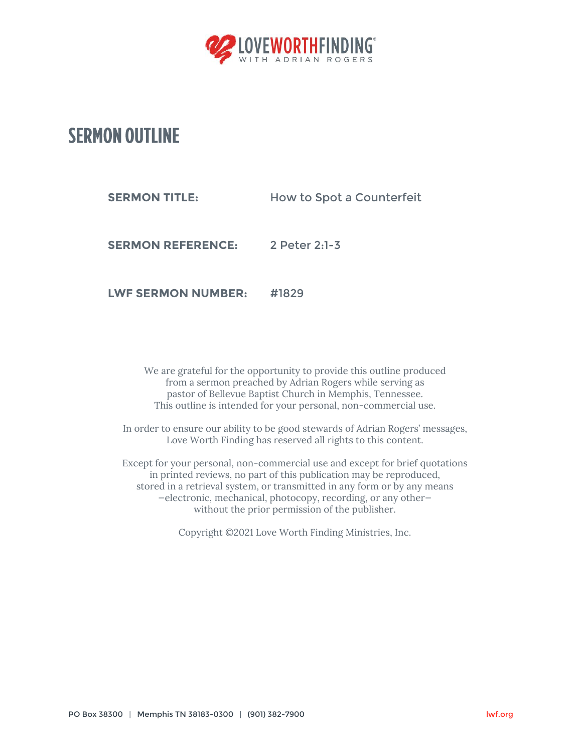

## **SERMON OUTLINE**

**SERMON TITLE:** How to Spot a Counterfeit

**SERMON REFERENCE:** 2 Peter 2:1-3

**LWF SERMON NUMBER:** #1829

We are grateful for the opportunity to provide this outline produced from a sermon preached by Adrian Rogers while serving as pastor of Bellevue Baptist Church in Memphis, Tennessee. This outline is intended for your personal, non-commercial use.

In order to ensure our ability to be good stewards of Adrian Rogers' messages, Love Worth Finding has reserved all rights to this content.

Except for your personal, non-commercial use and except for brief quotations in printed reviews, no part of this publication may be reproduced, stored in a retrieval system, or transmitted in any form or by any means —electronic, mechanical, photocopy, recording, or any other without the prior permission of the publisher.

Copyright ©2021 Love Worth Finding Ministries, Inc.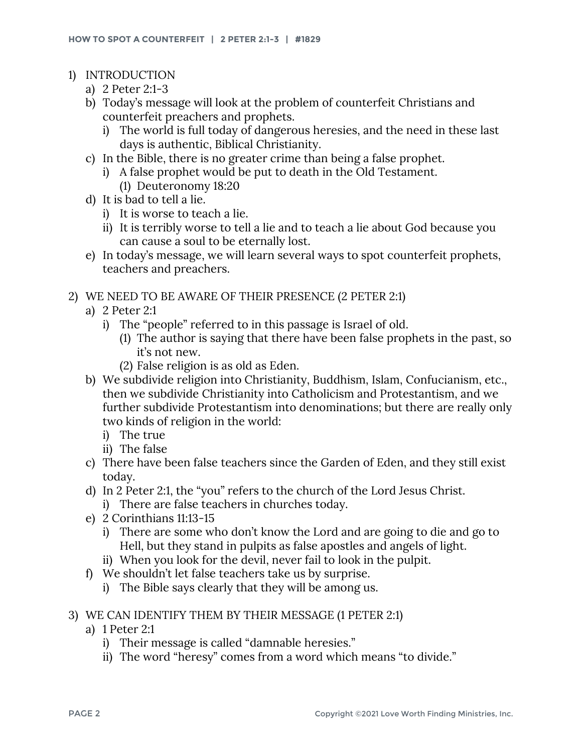- 1) INTRODUCTION
	- a) 2 Peter 2:1-3
	- b) Today's message will look at the problem of counterfeit Christians and counterfeit preachers and prophets.
		- i) The world is full today of dangerous heresies, and the need in these last days is authentic, Biblical Christianity.
	- c) In the Bible, there is no greater crime than being a false prophet.
		- i) A false prophet would be put to death in the Old Testament. (1) Deuteronomy 18:20
	- d) It is bad to tell a lie.
		- i) It is worse to teach a lie.
		- ii) It is terribly worse to tell a lie and to teach a lie about God because you can cause a soul to be eternally lost.
	- e) In today's message, we will learn several ways to spot counterfeit prophets, teachers and preachers.

## 2) WE NEED TO BE AWARE OF THEIR PRESENCE (2 PETER 2:1)

- a) 2 Peter 2:1
	- i) The "people" referred to in this passage is Israel of old.
		- (1) The author is saying that there have been false prophets in the past, so it's not new.
		- (2) False religion is as old as Eden.
- b) We subdivide religion into Christianity, Buddhism, Islam, Confucianism, etc., then we subdivide Christianity into Catholicism and Protestantism, and we further subdivide Protestantism into denominations; but there are really only two kinds of religion in the world:
	- i) The true
	- ii) The false
- c) There have been false teachers since the Garden of Eden, and they still exist today.
- d) In 2 Peter 2:1, the "you" refers to the church of the Lord Jesus Christ. i) There are false teachers in churches today.
- e) 2 Corinthians 11:13-15
	- i) There are some who don't know the Lord and are going to die and go to Hell, but they stand in pulpits as false apostles and angels of light.
	- ii) When you look for the devil, never fail to look in the pulpit.
- f) We shouldn't let false teachers take us by surprise.
	- i) The Bible says clearly that they will be among us.
- 3) WE CAN IDENTIFY THEM BY THEIR MESSAGE (1 PETER 2:1)
	- a) 1 Peter 2:1
		- i) Their message is called "damnable heresies."
		- ii) The word "heresy" comes from a word which means "to divide."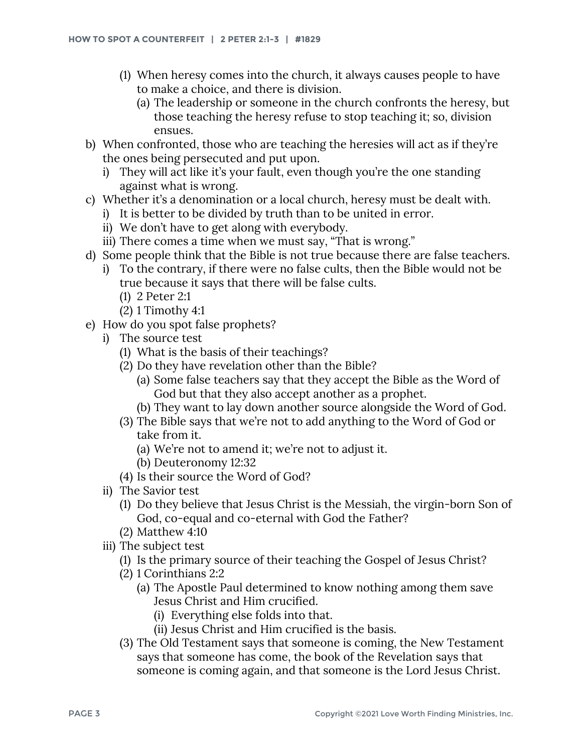- (1) When heresy comes into the church, it always causes people to have to make a choice, and there is division.
	- (a) The leadership or someone in the church confronts the heresy, but those teaching the heresy refuse to stop teaching it; so, division ensues.
- b) When confronted, those who are teaching the heresies will act as if they're the ones being persecuted and put upon.
	- i) They will act like it's your fault, even though you're the one standing against what is wrong.
- c) Whether it's a denomination or a local church, heresy must be dealt with.
	- i) It is better to be divided by truth than to be united in error.
	- ii) We don't have to get along with everybody.
	- iii) There comes a time when we must say, "That is wrong."
- d) Some people think that the Bible is not true because there are false teachers.
	- i) To the contrary, if there were no false cults, then the Bible would not be true because it says that there will be false cults.
		- (1) 2 Peter 2:1
		- (2) 1 Timothy 4:1
- e) How do you spot false prophets?
	- i) The source test
		- (1) What is the basis of their teachings?
		- (2) Do they have revelation other than the Bible?
			- (a) Some false teachers say that they accept the Bible as the Word of God but that they also accept another as a prophet.
			- (b) They want to lay down another source alongside the Word of God.
		- (3) The Bible says that we're not to add anything to the Word of God or take from it.
			- (a) We're not to amend it; we're not to adjust it.
			- (b) Deuteronomy 12:32
		- (4) Is their source the Word of God?
	- ii) The Savior test
		- (1) Do they believe that Jesus Christ is the Messiah, the virgin-born Son of God, co-equal and co-eternal with God the Father?
		- (2) Matthew 4:10
	- iii) The subject test
		- (1) Is the primary source of their teaching the Gospel of Jesus Christ?
		- (2) 1 Corinthians 2:2
			- (a) The Apostle Paul determined to know nothing among them save Jesus Christ and Him crucified.
				- (i) Everything else folds into that.
				- (ii) Jesus Christ and Him crucified is the basis.
		- (3) The Old Testament says that someone is coming, the New Testament says that someone has come, the book of the Revelation says that someone is coming again, and that someone is the Lord Jesus Christ.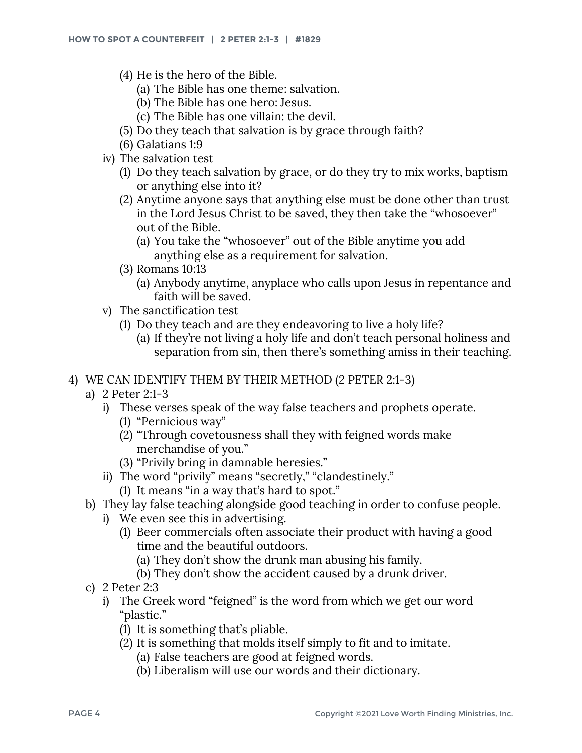- (4) He is the hero of the Bible.
	- (a) The Bible has one theme: salvation.
	- (b) The Bible has one hero: Jesus.
	- (c) The Bible has one villain: the devil.
- (5) Do they teach that salvation is by grace through faith?
- (6) Galatians 1:9
- iv) The salvation test
	- (1) Do they teach salvation by grace, or do they try to mix works, baptism or anything else into it?
	- (2) Anytime anyone says that anything else must be done other than trust in the Lord Jesus Christ to be saved, they then take the "whosoever" out of the Bible.
		- (a) You take the "whosoever" out of the Bible anytime you add anything else as a requirement for salvation.
	- (3) Romans 10:13
		- (a) Anybody anytime, anyplace who calls upon Jesus in repentance and faith will be saved.
- v) The sanctification test
	- (1) Do they teach and are they endeavoring to live a holy life?
		- (a) If they're not living a holy life and don't teach personal holiness and separation from sin, then there's something amiss in their teaching.
- 4) WE CAN IDENTIFY THEM BY THEIR METHOD (2 PETER 2:1-3)
	- a) 2 Peter 2:1-3
		- i) These verses speak of the way false teachers and prophets operate.
			- (1) "Pernicious way"
			- (2) "Through covetousness shall they with feigned words make merchandise of you."
			- (3) "Privily bring in damnable heresies."
		- ii) The word "privily" means "secretly," "clandestinely."
			- (1) It means "in a way that's hard to spot."
	- b) They lay false teaching alongside good teaching in order to confuse people.
		- i) We even see this in advertising.
			- (1) Beer commercials often associate their product with having a good time and the beautiful outdoors.
				- (a) They don't show the drunk man abusing his family.
				- (b) They don't show the accident caused by a drunk driver.
	- c) 2 Peter 2:3
		- i) The Greek word "feigned" is the word from which we get our word "plastic."
			- (1) It is something that's pliable.
			- (2) It is something that molds itself simply to fit and to imitate.
				- (a) False teachers are good at feigned words.
				- (b) Liberalism will use our words and their dictionary.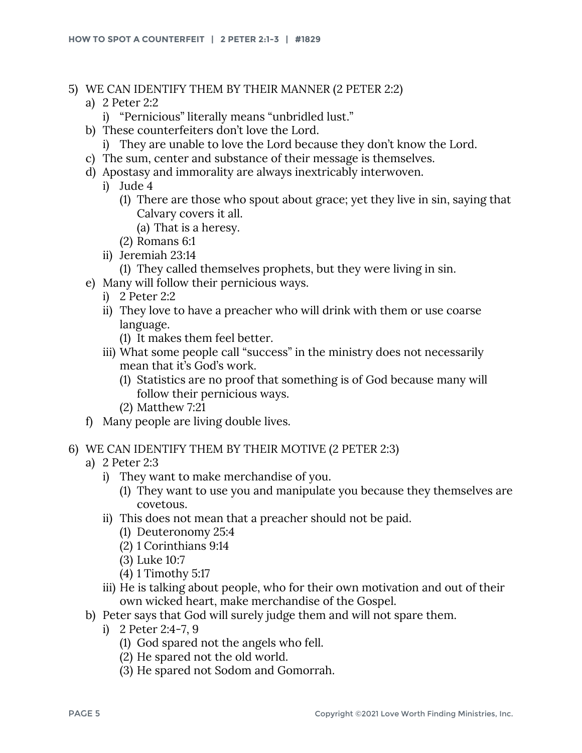- 5) WE CAN IDENTIFY THEM BY THEIR MANNER (2 PETER 2:2)
	- a) 2 Peter 2:2
		- i) "Pernicious" literally means "unbridled lust."
	- b) These counterfeiters don't love the Lord.
		- i) They are unable to love the Lord because they don't know the Lord.
	- c) The sum, center and substance of their message is themselves.
	- d) Apostasy and immorality are always inextricably interwoven.
		- i) Jude 4
			- (1) There are those who spout about grace; yet they live in sin, saying that Calvary covers it all.
				- (a) That is a heresy.
			- (2) Romans 6:1
		- ii) Jeremiah 23:14
			- (1) They called themselves prophets, but they were living in sin.
	- e) Many will follow their pernicious ways.
		- i) 2 Peter 2:2
		- ii) They love to have a preacher who will drink with them or use coarse language.
			- (1) It makes them feel better.
		- iii) What some people call "success" in the ministry does not necessarily mean that it's God's work.
			- (1) Statistics are no proof that something is of God because many will follow their pernicious ways.
			- (2) Matthew 7:21
	- f) Many people are living double lives.

## 6) WE CAN IDENTIFY THEM BY THEIR MOTIVE (2 PETER 2:3)

- a) 2 Peter 2:3
	- i) They want to make merchandise of you.
		- (1) They want to use you and manipulate you because they themselves are covetous.
	- ii) This does not mean that a preacher should not be paid.
		- (1) Deuteronomy 25:4
		- (2) 1 Corinthians 9:14
		- (3) Luke 10:7
		- (4) 1 Timothy 5:17
	- iii) He is talking about people, who for their own motivation and out of their own wicked heart, make merchandise of the Gospel.
- b) Peter says that God will surely judge them and will not spare them.
	- i) 2 Peter 2:4-7, 9
		- (1) God spared not the angels who fell.
		- (2) He spared not the old world.
		- (3) He spared not Sodom and Gomorrah.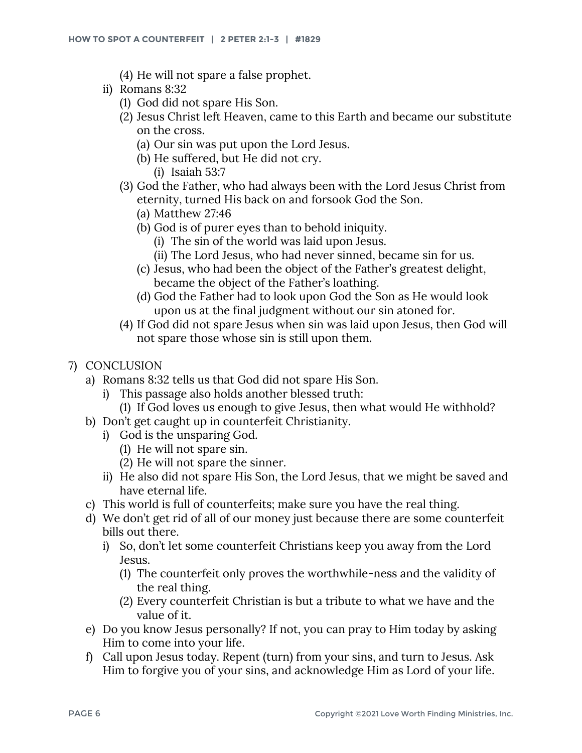- (4) He will not spare a false prophet.
- ii) Romans 8:32
	- (1) God did not spare His Son.
	- (2) Jesus Christ left Heaven, came to this Earth and became our substitute on the cross.
		- (a) Our sin was put upon the Lord Jesus.
		- (b) He suffered, but He did not cry.
			- (i) Isaiah 53:7
	- (3) God the Father, who had always been with the Lord Jesus Christ from eternity, turned His back on and forsook God the Son.
		- (a) Matthew 27:46
		- (b) God is of purer eyes than to behold iniquity.
			- (i) The sin of the world was laid upon Jesus.
			- (ii) The Lord Jesus, who had never sinned, became sin for us.
		- (c) Jesus, who had been the object of the Father's greatest delight, became the object of the Father's loathing.
		- (d) God the Father had to look upon God the Son as He would look upon us at the final judgment without our sin atoned for.
	- (4) If God did not spare Jesus when sin was laid upon Jesus, then God will not spare those whose sin is still upon them.
- 7) CONCLUSION
	- a) Romans 8:32 tells us that God did not spare His Son.
		- i) This passage also holds another blessed truth:
		- (1) If God loves us enough to give Jesus, then what would He withhold?
	- b) Don't get caught up in counterfeit Christianity.
		- i) God is the unsparing God.
			- (1) He will not spare sin.
			- (2) He will not spare the sinner.
			- ii) He also did not spare His Son, the Lord Jesus, that we might be saved and have eternal life.
	- c) This world is full of counterfeits; make sure you have the real thing.
	- d) We don't get rid of all of our money just because there are some counterfeit bills out there.
		- i) So, don't let some counterfeit Christians keep you away from the Lord Jesus.
			- (1) The counterfeit only proves the worthwhile-ness and the validity of the real thing.
			- (2) Every counterfeit Christian is but a tribute to what we have and the value of it.
	- e) Do you know Jesus personally? If not, you can pray to Him today by asking Him to come into your life.
	- f) Call upon Jesus today. Repent (turn) from your sins, and turn to Jesus. Ask Him to forgive you of your sins, and acknowledge Him as Lord of your life.